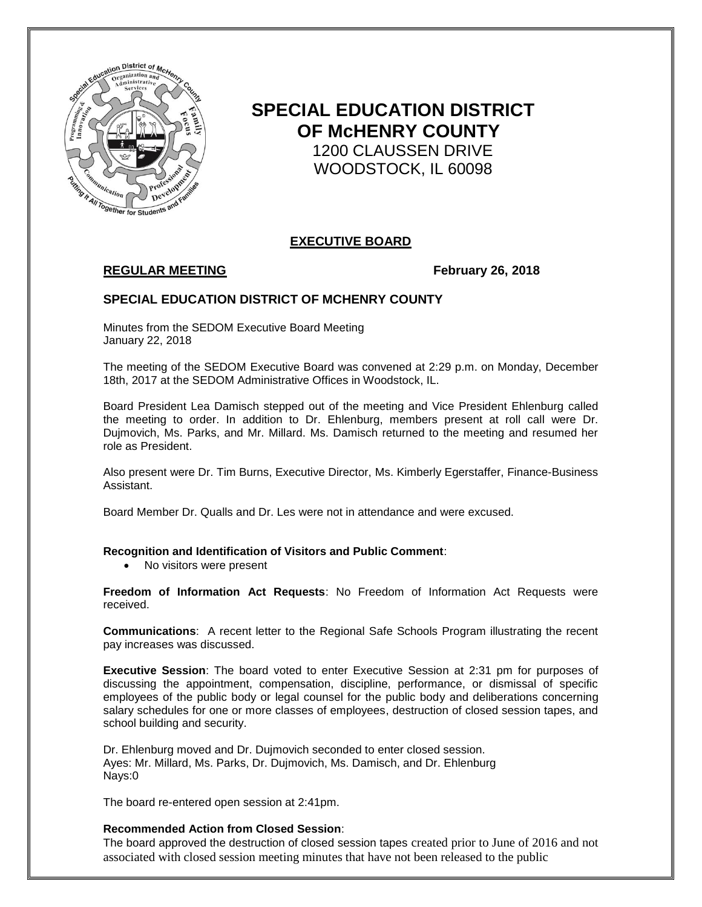

# **SPECIAL EDUCATION DISTRICT OF McHENRY COUNTY** 1200 CLAUSSEN DRIVE WOODSTOCK, IL 60098

# **EXECUTIVE BOARD**

# **REGULAR MEETING February 26, 2018**

## **SPECIAL EDUCATION DISTRICT OF MCHENRY COUNTY**

Minutes from the SEDOM Executive Board Meeting January 22, 2018

The meeting of the SEDOM Executive Board was convened at 2:29 p.m. on Monday, December 18th, 2017 at the SEDOM Administrative Offices in Woodstock, IL.

Board President Lea Damisch stepped out of the meeting and Vice President Ehlenburg called the meeting to order. In addition to Dr. Ehlenburg, members present at roll call were Dr. Dujmovich, Ms. Parks, and Mr. Millard. Ms. Damisch returned to the meeting and resumed her role as President.

Also present were Dr. Tim Burns, Executive Director, Ms. Kimberly Egerstaffer, Finance-Business Assistant.

Board Member Dr. Qualls and Dr. Les were not in attendance and were excused.

#### **Recognition and Identification of Visitors and Public Comment**:

• No visitors were present

**Freedom of Information Act Requests**: No Freedom of Information Act Requests were received.

**Communications**: A recent letter to the Regional Safe Schools Program illustrating the recent pay increases was discussed.

**Executive Session**: The board voted to enter Executive Session at 2:31 pm for purposes of discussing the appointment, compensation, discipline, performance, or dismissal of specific employees of the public body or legal counsel for the public body and deliberations concerning salary schedules for one or more classes of employees, destruction of closed session tapes, and school building and security.

Dr. Ehlenburg moved and Dr. Dujmovich seconded to enter closed session. Ayes: Mr. Millard, Ms. Parks, Dr. Dujmovich, Ms. Damisch, and Dr. Ehlenburg Nays:0

The board re-entered open session at 2:41pm.

#### **Recommended Action from Closed Session**:

The board approved the destruction of closed session tapes created prior to June of 2016 and not associated with closed session meeting minutes that have not been released to the public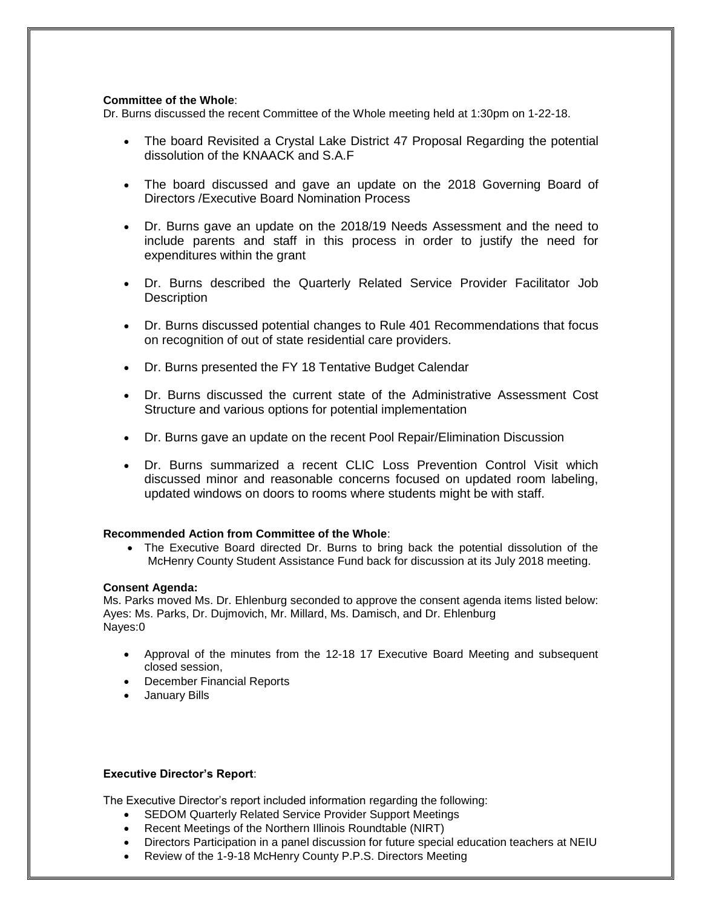#### **Committee of the Whole**:

Dr. Burns discussed the recent Committee of the Whole meeting held at 1:30pm on 1-22-18.

- The board Revisited a Crystal Lake District 47 Proposal Regarding the potential dissolution of the KNAACK and S.A.F
- The board discussed and gave an update on the 2018 Governing Board of Directors /Executive Board Nomination Process
- Dr. Burns gave an update on the 2018/19 Needs Assessment and the need to include parents and staff in this process in order to justify the need for expenditures within the grant
- Dr. Burns described the Quarterly Related Service Provider Facilitator Job **Description**
- Dr. Burns discussed potential changes to Rule 401 Recommendations that focus on recognition of out of state residential care providers.
- Dr. Burns presented the FY 18 Tentative Budget Calendar
- Dr. Burns discussed the current state of the Administrative Assessment Cost Structure and various options for potential implementation
- Dr. Burns gave an update on the recent Pool Repair/Elimination Discussion
- Dr. Burns summarized a recent CLIC Loss Prevention Control Visit which discussed minor and reasonable concerns focused on updated room labeling, updated windows on doors to rooms where students might be with staff.

#### **Recommended Action from Committee of the Whole**:

• The Executive Board directed Dr. Burns to bring back the potential dissolution of the McHenry County Student Assistance Fund back for discussion at its July 2018 meeting.

#### **Consent Agenda:**

Ms. Parks moved Ms. Dr. Ehlenburg seconded to approve the consent agenda items listed below: Ayes: Ms. Parks, Dr. Dujmovich, Mr. Millard, Ms. Damisch, and Dr. Ehlenburg Nayes:0

- Approval of the minutes from the 12-18 17 Executive Board Meeting and subsequent closed session,
- December Financial Reports
- January Bills

### **Executive Director's Report**:

The Executive Director's report included information regarding the following:

- SEDOM Quarterly Related Service Provider Support Meetings
- Recent Meetings of the Northern Illinois Roundtable (NIRT)
- Directors Participation in a panel discussion for future special education teachers at NEIU
- Review of the 1-9-18 McHenry County P.P.S. Directors Meeting